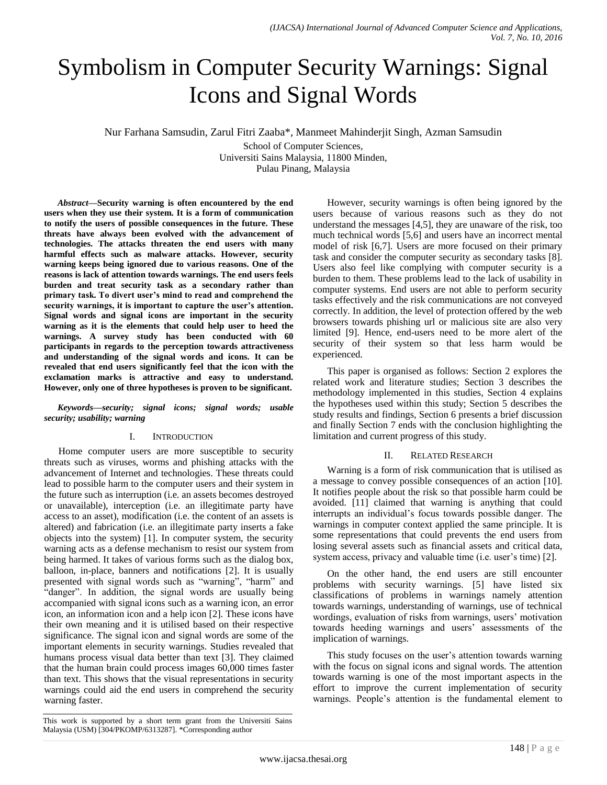# Symbolism in Computer Security Warnings: Signal Icons and Signal Words

Nur Farhana Samsudin, Zarul Fitri Zaaba\*, Manmeet Mahinderjit Singh, Azman Samsudin

School of Computer Sciences, Universiti Sains Malaysia, 11800 Minden, Pulau Pinang, Malaysia

*Abstract***—Security warning is often encountered by the end users when they use their system. It is a form of communication to notify the users of possible consequences in the future. These threats have always been evolved with the advancement of technologies. The attacks threaten the end users with many harmful effects such as malware attacks. However, security warning keeps being ignored due to various reasons. One of the reasons is lack of attention towards warnings. The end users feels burden and treat security task as a secondary rather than primary task. To divert user's mind to read and comprehend the security warnings, it is important to capture the user's attention. Signal words and signal icons are important in the security warning as it is the elements that could help user to heed the warnings. A survey study has been conducted with 60 participants in regards to the perception towards attractiveness and understanding of the signal words and icons. It can be revealed that end users significantly feel that the icon with the exclamation marks is attractive and easy to understand. However, only one of three hypotheses is proven to be significant.** 

*Keywords—security; signal icons; signal words; usable security; usability; warning*

# I. INTRODUCTION

Home computer users are more susceptible to security threats such as viruses, worms and phishing attacks with the advancement of Internet and technologies. These threats could lead to possible harm to the computer users and their system in the future such as interruption (i.e. an assets becomes destroyed or unavailable), interception (i.e. an illegitimate party have access to an asset), modification (i.e. the content of an assets is altered) and fabrication (i.e. an illegitimate party inserts a fake objects into the system) [1]. In computer system, the security warning acts as a defense mechanism to resist our system from being harmed. It takes of various forms such as the dialog box, balloon, in-place, banners and notifications [2]. It is usually presented with signal words such as "warning", "harm" and "danger". In addition, the signal words are usually being accompanied with signal icons such as a warning icon, an error icon, an information icon and a help icon [2]. These icons have their own meaning and it is utilised based on their respective significance. The signal icon and signal words are some of the important elements in security warnings. Studies revealed that humans process visual data better than text [3]. They claimed that the human brain could process images 60,000 times faster than text. This shows that the visual representations in security warnings could aid the end users in comprehend the security warning faster.

However, security warnings is often being ignored by the users because of various reasons such as they do not understand the messages [4,5], they are unaware of the risk, too much technical words [5,6] and users have an incorrect mental model of risk [6,7]. Users are more focused on their primary task and consider the computer security as secondary tasks [8]. Users also feel like complying with computer security is a burden to them. These problems lead to the lack of usability in computer systems. End users are not able to perform security tasks effectively and the risk communications are not conveyed correctly. In addition, the level of protection offered by the web browsers towards phishing url or malicious site are also very limited [9]. Hence, end-users need to be more alert of the security of their system so that less harm would be experienced.

This paper is organised as follows: Section 2 explores the related work and literature studies; Section 3 describes the methodology implemented in this studies, Section 4 explains the hypotheses used within this study; Section 5 describes the study results and findings, Section 6 presents a brief discussion and finally Section 7 ends with the conclusion highlighting the limitation and current progress of this study.

# II. RELATED RESEARCH

Warning is a form of risk communication that is utilised as a message to convey possible consequences of an action [10]. It notifies people about the risk so that possible harm could be avoided. [11] claimed that warning is anything that could interrupts an individual"s focus towards possible danger. The warnings in computer context applied the same principle. It is some representations that could prevents the end users from losing several assets such as financial assets and critical data, system access, privacy and valuable time (i.e. user's time) [2].

On the other hand, the end users are still encounter problems with security warnings. [5] have listed six classifications of problems in warnings namely attention towards warnings, understanding of warnings, use of technical wordings, evaluation of risks from warnings, users' motivation towards heeding warnings and users" assessments of the implication of warnings.

This study focuses on the user's attention towards warning with the focus on signal icons and signal words. The attention towards warning is one of the most important aspects in the effort to improve the current implementation of security warnings. People"s attention is the fundamental element to

This work is supported by a short term grant from the Universiti Sains Malaysia (USM) [304/PKOMP/6313287]. \*Corresponding author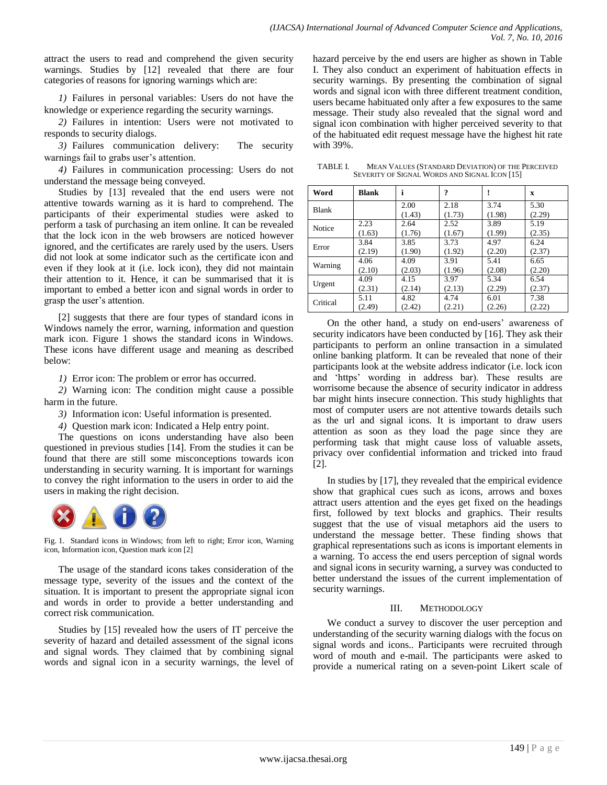attract the users to read and comprehend the given security warnings. Studies by [12] revealed that there are four categories of reasons for ignoring warnings which are:

*1)* Failures in personal variables: Users do not have the knowledge or experience regarding the security warnings.

*2)* Failures in intention: Users were not motivated to responds to security dialogs.

*3)* Failures communication delivery: The security warnings fail to grabs user's attention.

*4)* Failures in communication processing: Users do not understand the message being conveyed.

Studies by [13] revealed that the end users were not attentive towards warning as it is hard to comprehend. The participants of their experimental studies were asked to perform a task of purchasing an item online. It can be revealed that the lock icon in the web browsers are noticed however ignored, and the certificates are rarely used by the users. Users did not look at some indicator such as the certificate icon and even if they look at it (i.e. lock icon), they did not maintain their attention to it. Hence, it can be summarised that it is important to embed a better icon and signal words in order to grasp the user"s attention.

[2] suggests that there are four types of standard icons in Windows namely the error, warning, information and question mark icon. Figure 1 shows the standard icons in Windows. These icons have different usage and meaning as described below:

*1)* Error icon: The problem or error has occurred.

*2)* Warning icon: The condition might cause a possible harm in the future.

*3)* Information icon: Useful information is presented.

*4)* Question mark icon: Indicated a Help entry point.

The questions on icons understanding have also been questioned in previous studies [14]. From the studies it can be found that there are still some misconceptions towards icon understanding in security warning. It is important for warnings to convey the right information to the users in order to aid the users in making the right decision.



Fig. 1. Standard icons in Windows; from left to right; Error icon, Warning icon, Information icon, Question mark icon [2]

The usage of the standard icons takes consideration of the message type, severity of the issues and the context of the situation. It is important to present the appropriate signal icon and words in order to provide a better understanding and correct risk communication.

Studies by [15] revealed how the users of IT perceive the severity of hazard and detailed assessment of the signal icons and signal words. They claimed that by combining signal words and signal icon in a security warnings, the level of hazard perceive by the end users are higher as shown in Table I. They also conduct an experiment of habituation effects in security warnings. By presenting the combination of signal words and signal icon with three different treatment condition, users became habituated only after a few exposures to the same message. Their study also revealed that the signal word and signal icon combination with higher perceived severity to that of the habituated edit request message have the highest hit rate with 39%.

TABLE I. MEAN VALUES (STANDARD DEVIATION) OF THE PERCEIVED SEVERITY OF SIGNAL WORDS AND SIGNAL ICON [15]

| Word         | <b>Blank</b> | i      | ?      |        | X      |
|--------------|--------------|--------|--------|--------|--------|
| <b>Blank</b> |              | 2.00   | 2.18   | 3.74   | 5.30   |
|              |              | (1.43) | (1.73) | (1.98) | (2.29) |
| Notice       | 2.23         | 2.64   | 2.52   | 3.89   | 5.19   |
|              | (1.63)       | (1.76) | (1.67) | (1.99) | (2.35) |
| Error        | 3.84         | 3.85   | 3.73   | 4.97   | 6.24   |
|              | (2.19)       | (1.90) | (1.92) | (2.20) | (2.37) |
| Warning      | 4.06         | 4.09   | 3.91   | 5.41   | 6.65   |
|              | (2.10)       | (2.03) | (1.96) | (2.08) | (2.20) |
| Urgent       | 4.09         | 4.15   | 3.97   | 5.34   | 6.54   |
|              | (2.31)       | (2.14) | (2.13) | (2.29) | (2.37) |
| Critical     | 5.11         | 4.82   | 4.74   | 6.01   | 7.38   |
|              | (2.49)       | (2.42) | (2.21) | (2.26) | (2.22) |

On the other hand, a study on end-users' awareness of security indicators have been conducted by [16]. They ask their participants to perform an online transaction in a simulated online banking platform. It can be revealed that none of their participants look at the website address indicator (i.e. lock icon and "https" wording in address bar). These results are worrisome because the absence of security indicator in address bar might hints insecure connection. This study highlights that most of computer users are not attentive towards details such as the url and signal icons. It is important to draw users attention as soon as they load the page since they are performing task that might cause loss of valuable assets, privacy over confidential information and tricked into fraud [2].

In studies by [17], they revealed that the empirical evidence show that graphical cues such as icons, arrows and boxes attract users attention and the eyes get fixed on the headings first, followed by text blocks and graphics. Their results suggest that the use of visual metaphors aid the users to understand the message better. These finding shows that graphical representations such as icons is important elements in a warning. To access the end users perception of signal words and signal icons in security warning, a survey was conducted to better understand the issues of the current implementation of security warnings.

# III. METHODOLOGY

We conduct a survey to discover the user perception and understanding of the security warning dialogs with the focus on signal words and icons.. Participants were recruited through word of mouth and e-mail. The participants were asked to provide a numerical rating on a seven-point Likert scale of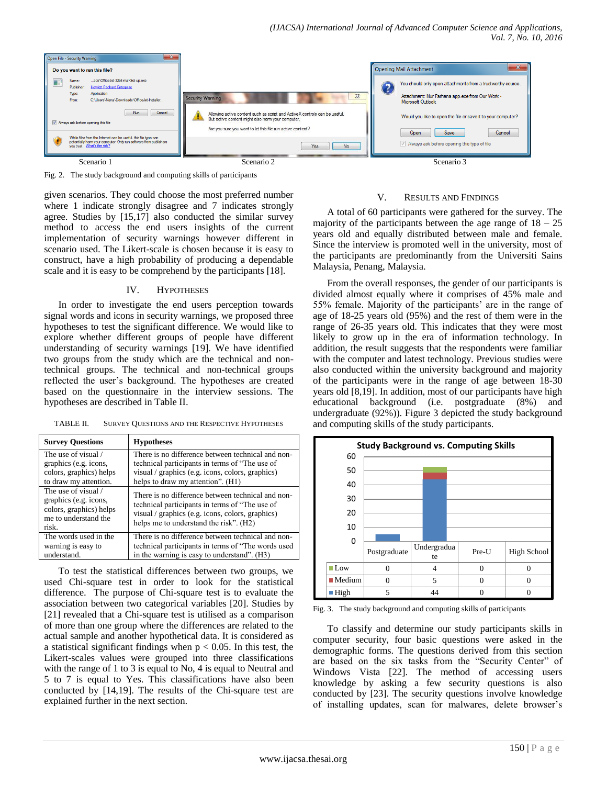

Fig. 2. The study background and computing skills of participants

given scenarios. They could choose the most preferred number where 1 indicate strongly disagree and 7 indicates strongly agree. Studies by [15,17] also conducted the similar survey method to access the end users insights of the current implementation of security warnings however different in scenario used. The Likert-scale is chosen because it is easy to construct, have a high probability of producing a dependable scale and it is easy to be comprehend by the participants [18].

#### IV. HYPOTHESES

In order to investigate the end users perception towards signal words and icons in security warnings, we proposed three hypotheses to test the significant difference. We would like to explore whether different groups of people have different understanding of security warnings [19]. We have identified two groups from the study which are the technical and nontechnical groups. The technical and non-technical groups reflected the user"s background. The hypotheses are created based on the questionnaire in the interview sessions. The hypotheses are described in Table II.

TABLE II. SURVEY QUESTIONS AND THE RESPECTIVE HYPOTHESES

| <b>Survey Questions</b>                                                                                  | <b>Hypotheses</b>                                                                                                                                                                                 |
|----------------------------------------------------------------------------------------------------------|---------------------------------------------------------------------------------------------------------------------------------------------------------------------------------------------------|
| The use of visual /                                                                                      | There is no difference between technical and non-                                                                                                                                                 |
| graphics (e.g. icons,                                                                                    | technical participants in terms of "The use of                                                                                                                                                    |
| colors, graphics) helps                                                                                  | visual / graphics (e.g. icons, colors, graphics)                                                                                                                                                  |
| to draw my attention.                                                                                    | helps to draw my attention". (H1)                                                                                                                                                                 |
| The use of visual /<br>graphics (e.g. icons,<br>colors, graphics) helps<br>me to understand the<br>risk. | There is no difference between technical and non-<br>technical participants in terms of "The use of<br>visual / graphics (e.g. icons, colors, graphics)<br>helps me to understand the risk". (H2) |
| The words used in the                                                                                    | There is no difference between technical and non-                                                                                                                                                 |
| warning is easy to                                                                                       | technical participants in terms of "The words used                                                                                                                                                |
| understand.                                                                                              | in the warning is easy to understand". (H3)                                                                                                                                                       |

To test the statistical differences between two groups, we used Chi-square test in order to look for the statistical difference. The purpose of Chi-square test is to evaluate the association between two categorical variables [20]. Studies by [21] revealed that a Chi-square test is utilised as a comparison of more than one group where the differences are related to the actual sample and another hypothetical data. It is considered as a statistical significant findings when  $p < 0.05$ . In this test, the Likert-scales values were grouped into three classifications with the range of 1 to 3 is equal to No, 4 is equal to Neutral and 5 to 7 is equal to Yes. This classifications have also been conducted by [14,19]. The results of the Chi-square test are explained further in the next section.

### V. RESULTS AND FINDINGS

A total of 60 participants were gathered for the survey. The majority of the participants between the age range of  $18 - 25$ years old and equally distributed between male and female. Since the interview is promoted well in the university, most of the participants are predominantly from the Universiti Sains Malaysia, Penang, Malaysia.

From the overall responses, the gender of our participants is divided almost equally where it comprises of 45% male and 55% female. Majority of the participants' are in the range of age of 18-25 years old (95%) and the rest of them were in the range of 26-35 years old. This indicates that they were most likely to grow up in the era of information technology. In addition, the result suggests that the respondents were familiar with the computer and latest technology. Previous studies were also conducted within the university background and majority of the participants were in the range of age between 18-30 years old [8,19]. In addition, most of our participants have high educational background (i.e. postgraduate (8%) and undergraduate (92%)). Figure 3 depicted the study background and computing skills of the study participants.



Fig. 3. The study background and computing skills of participants

To classify and determine our study participants skills in computer security, four basic questions were asked in the demographic forms. The questions derived from this section are based on the six tasks from the "Security Center" of Windows Vista [22]. The method of accessing users knowledge by asking a few security questions is also conducted by [23]. The security questions involve knowledge of installing updates, scan for malwares, delete browser"s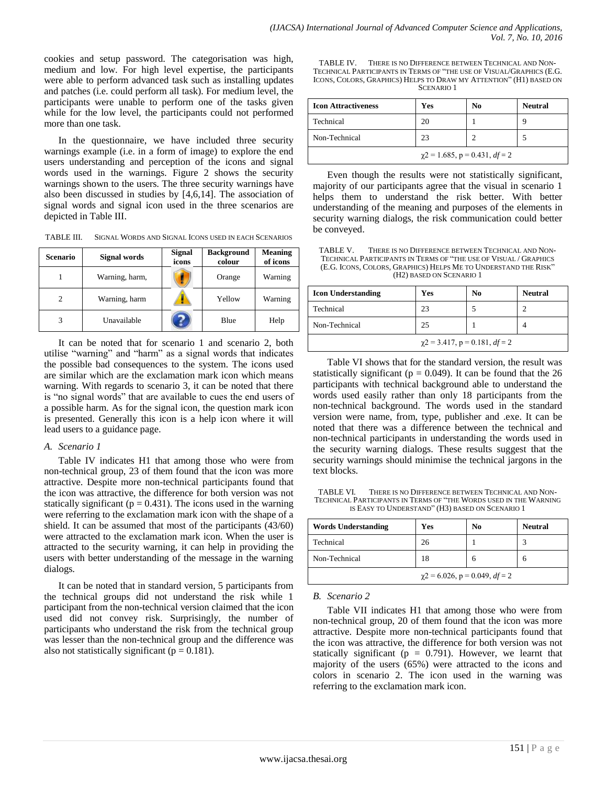cookies and setup password. The categorisation was high, medium and low. For high level expertise, the participants were able to perform advanced task such as installing updates and patches (i.e. could perform all task). For medium level, the participants were unable to perform one of the tasks given while for the low level, the participants could not performed more than one task.

In the questionnaire, we have included three security warnings example (i.e. in a form of image) to explore the end users understanding and perception of the icons and signal words used in the warnings. Figure 2 shows the security warnings shown to the users. The three security warnings have also been discussed in studies by [4,6,14]. The association of signal words and signal icon used in the three scenarios are depicted in Table III.

TABLE III. SIGNAL WORDS AND SIGNAL ICONS USED IN EACH SCENARIOS

| <b>Scenario</b> | Signal words   | <b>Signal</b><br>icons | <b>Background</b><br>colour | <b>Meaning</b><br>of icons |
|-----------------|----------------|------------------------|-----------------------------|----------------------------|
|                 | Warning, harm, |                        | Orange                      | Warning                    |
| 2               | Warning, harm  |                        | Yellow                      | Warning                    |
| 3               | Unavailable    |                        | Blue                        | Help                       |

It can be noted that for scenario 1 and scenario 2, both utilise "warning" and "harm" as a signal words that indicates the possible bad consequences to the system. The icons used are similar which are the exclamation mark icon which means warning. With regards to scenario 3, it can be noted that there is "no signal words" that are available to cues the end users of a possible harm. As for the signal icon, the question mark icon is presented. Generally this icon is a help icon where it will lead users to a guidance page.

#### *A. Scenario 1*

Table IV indicates H1 that among those who were from non-technical group, 23 of them found that the icon was more attractive. Despite more non-technical participants found that the icon was attractive, the difference for both version was not statically significant ( $p = 0.431$ ). The icons used in the warning were referring to the exclamation mark icon with the shape of a shield. It can be assumed that most of the participants (43/60) were attracted to the exclamation mark icon. When the user is attracted to the security warning, it can help in providing the users with better understanding of the message in the warning dialogs.

It can be noted that in standard version, 5 participants from the technical groups did not understand the risk while 1 participant from the non-technical version claimed that the icon used did not convey risk. Surprisingly, the number of participants who understand the risk from the technical group was lesser than the non-technical group and the difference was also not statistically significant ( $p = 0.181$ ).

TABLE IV. THERE IS NO DIFFERENCE BETWEEN TECHNICAL AND NON-TECHNICAL PARTICIPANTS IN TERMS OF "THE USE OF VISUAL/GRAPHICS (E.G. ICONS, COLORS, GRAPHICS) HELPS TO DRAW MY ATTENTION" (H1) BASED ON SCENARIO 1

| <b>Icon Attractiveness</b> | Yes                                   | $\bf No$ | <b>Neutral</b> |
|----------------------------|---------------------------------------|----------|----------------|
| Technical                  | 20                                    |          | q              |
| Non-Technical              | 23                                    |          |                |
|                            | $\gamma$ 2 = 1.685, p = 0.431, df = 2 |          |                |

Even though the results were not statistically significant, majority of our participants agree that the visual in scenario 1 helps them to understand the risk better. With better understanding of the meaning and purposes of the elements in security warning dialogs, the risk communication could better be conveyed.

TABLE V. THERE IS NO DIFFERENCE BETWEEN TECHNICAL AND NON-TECHNICAL PARTICIPANTS IN TERMS OF "THE USE OF VISUAL / GRAPHICS (E.G. ICONS, COLORS, GRAPHICS) HELPS ME TO UNDERSTAND THE RISK" (H2) BASED ON SCENARIO 1

| <b>Icon Understanding</b> | Yes                                   | No | <b>Neutral</b> |
|---------------------------|---------------------------------------|----|----------------|
| Technical                 | 23                                    |    |                |
| Non-Technical             | 25                                    |    |                |
|                           | $\gamma$ 2 = 3.417, p = 0.181, df = 2 |    |                |

Table VI shows that for the standard version, the result was statistically significant ( $p = 0.049$ ). It can be found that the 26 participants with technical background able to understand the words used easily rather than only 18 participants from the non-technical background. The words used in the standard version were name, from, type, publisher and .exe. It can be noted that there was a difference between the technical and non-technical participants in understanding the words used in the security warning dialogs. These results suggest that the security warnings should minimise the technical jargons in the text blocks.

TABLE VI. THERE IS NO DIFFERENCE BETWEEN TECHNICAL AND NON-TECHNICAL PARTICIPANTS IN TERMS OF "THE WORDS USED IN THE WARNING IS EASY TO UNDERSTAND" (H3) BASED ON SCENARIO 1

| <b>Words Understanding</b>            | Yes | $\bf No$ | <b>Neutral</b> |
|---------------------------------------|-----|----------|----------------|
| Technical                             | 26  |          |                |
| Non-Technical                         | 18  | h        | 6              |
| $\gamma$ 2 = 6.026, p = 0.049, df = 2 |     |          |                |

#### *B. Scenario 2*

Table VII indicates H1 that among those who were from non-technical group, 20 of them found that the icon was more attractive. Despite more non-technical participants found that the icon was attractive, the difference for both version was not statically significant ( $p = 0.791$ ). However, we learnt that majority of the users (65%) were attracted to the icons and colors in scenario 2. The icon used in the warning was referring to the exclamation mark icon.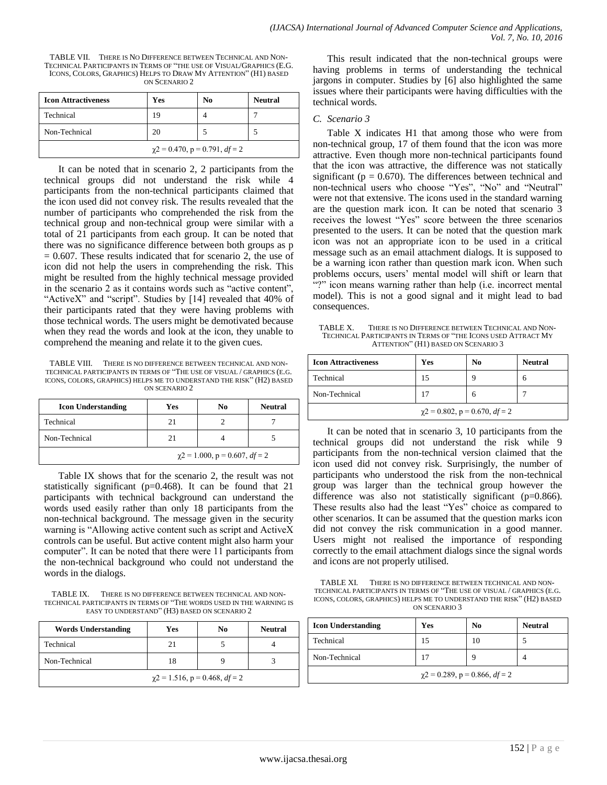| TABLE VII. | THERE IS NO DIFFERENCE BETWEEN TECHNICAL AND NON-                    |
|------------|----------------------------------------------------------------------|
|            | TECHNICAL PARTICIPANTS IN TERMS OF "THE USE OF VISUAL/GRAPHICS (E.G. |
|            | ICONS, COLORS, GRAPHICS) HELPS TO DRAW MY ATTENTION" (H1) BASED      |
|            | ON SCENARIO 2                                                        |
|            |                                                                      |

| <b>Icon Attractiveness</b>            | Yes | No | <b>Neutral</b> |
|---------------------------------------|-----|----|----------------|
| Technical                             | 19  |    |                |
| Non-Technical                         | 20  |    |                |
| $\gamma$ 2 = 0.470, p = 0.791, df = 2 |     |    |                |

It can be noted that in scenario 2, 2 participants from the technical groups did not understand the risk while 4 participants from the non-technical participants claimed that the icon used did not convey risk. The results revealed that the number of participants who comprehended the risk from the technical group and non-technical group were similar with a total of 21 participants from each group. It can be noted that there was no significance difference between both groups as p = 0.607. These results indicated that for scenario 2, the use of icon did not help the users in comprehending the risk. This might be resulted from the highly technical message provided in the scenario 2 as it contains words such as "active content", "ActiveX" and "script". Studies by [14] revealed that 40% of their participants rated that they were having problems with those technical words. The users might be demotivated because when they read the words and look at the icon, they unable to comprehend the meaning and relate it to the given cues.

TABLE VIII. THERE IS NO DIFFERENCE BETWEEN TECHNICAL AND NON-TECHNICAL PARTICIPANTS IN TERMS OF "THE USE OF VISUAL / GRAPHICS (E.G. ICONS, COLORS, GRAPHICS) HELPS ME TO UNDERSTAND THE RISK" (H2) BASED ON SCENARIO 2

| <b>Icon Understanding</b>             | Yes | No | <b>Neutral</b> |
|---------------------------------------|-----|----|----------------|
| Technical                             | 21  |    |                |
| Non-Technical                         | 21  |    |                |
| $\gamma$ 2 = 1.000, p = 0.607, df = 2 |     |    |                |

Table IX shows that for the scenario 2, the result was not statistically significant ( $p=0.468$ ). It can be found that 21 participants with technical background can understand the words used easily rather than only 18 participants from the non-technical background. The message given in the security warning is "Allowing active content such as script and ActiveX controls can be useful. But active content might also harm your computer". It can be noted that there were 11 participants from the non-technical background who could not understand the words in the dialogs.

TABLE IX. THERE IS NO DIFFERENCE BETWEEN TECHNICAL AND NON-TECHNICAL PARTICIPANTS IN TERMS OF "THE WORDS USED IN THE WARNING IS EASY TO UNDERSTAND" (H3) BASED ON SCENARIO 2

| <b>Words Understanding</b>            | Yes | No | <b>Neutral</b> |  |
|---------------------------------------|-----|----|----------------|--|
| Technical                             | 21  |    |                |  |
| Non-Technical                         | 18  |    |                |  |
| $\gamma$ 2 = 1.516, p = 0.468, df = 2 |     |    |                |  |

This result indicated that the non-technical groups were having problems in terms of understanding the technical jargons in computer. Studies by [6] also highlighted the same issues where their participants were having difficulties with the technical words.

# *C. Scenario 3*

Table X indicates H1 that among those who were from non-technical group, 17 of them found that the icon was more attractive. Even though more non-technical participants found that the icon was attractive, the difference was not statically significant ( $p = 0.670$ ). The differences between technical and non-technical users who choose "Yes", "No" and "Neutral" were not that extensive. The icons used in the standard warning are the question mark icon. It can be noted that scenario 3 receives the lowest "Yes" score between the three scenarios presented to the users. It can be noted that the question mark icon was not an appropriate icon to be used in a critical message such as an email attachment dialogs. It is supposed to be a warning icon rather than question mark icon. When such problems occurs, users" mental model will shift or learn that "?" icon means warning rather than help (i.e. incorrect mental model). This is not a good signal and it might lead to bad consequences.

TABLE X. THERE IS NO DIFFERENCE BETWEEN TECHNICAL AND NON-TECHNICAL PARTICIPANTS IN TERMS OF "THE ICONS USED ATTRACT MY ATTENTION" (H1) BASED ON SCENARIO 3

| <b>Icon Attractiveness</b>            | Yes | $\bf No$ | <b>Neutral</b> |
|---------------------------------------|-----|----------|----------------|
| Technical                             | 15  |          | 6              |
| Non-Technical                         | 17  | 6        |                |
| $\gamma$ 2 = 0.802, p = 0.670, df = 2 |     |          |                |

It can be noted that in scenario 3, 10 participants from the technical groups did not understand the risk while 9 participants from the non-technical version claimed that the icon used did not convey risk. Surprisingly, the number of participants who understood the risk from the non-technical group was larger than the technical group however the difference was also not statistically significant (p=0.866). These results also had the least "Yes" choice as compared to other scenarios. It can be assumed that the question marks icon did not convey the risk communication in a good manner. Users might not realised the importance of responding correctly to the email attachment dialogs since the signal words and icons are not properly utilised.

TABLE XI. THERE IS NO DIFFERENCE BETWEEN TECHNICAL AND NON-TECHNICAL PARTICIPANTS IN TERMS OF "THE USE OF VISUAL / GRAPHICS (E.G. ICONS, COLORS, GRAPHICS) HELPS ME TO UNDERSTAND THE RISK" (H2) BASED ON SCENARIO 3

| <b>Icon Understanding</b>             | Yes | $\bf No$ | <b>Neutral</b> |
|---------------------------------------|-----|----------|----------------|
| Technical                             | 15  | 10       |                |
| Non-Technical                         | 17  |          |                |
| $\gamma$ 2 = 0.289, p = 0.866, df = 2 |     |          |                |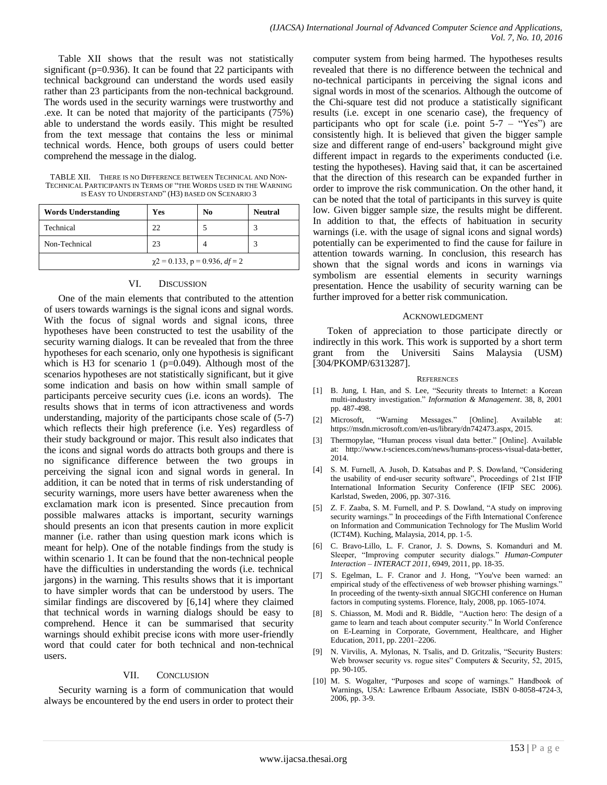Table XII shows that the result was not statistically significant (p=0.936). It can be found that 22 participants with technical background can understand the words used easily rather than 23 participants from the non-technical background. The words used in the security warnings were trustworthy and .exe. It can be noted that majority of the participants (75%) able to understand the words easily. This might be resulted from the text message that contains the less or minimal technical words. Hence, both groups of users could better comprehend the message in the dialog.

TABLE XII. THERE IS NO DIFFERENCE BETWEEN TECHNICAL AND NON-TECHNICAL PARTICIPANTS IN TERMS OF "THE WORDS USED IN THE WARNING IS EASY TO UNDERSTAND" (H3) BASED ON SCENARIO 3

| <b>Words Understanding</b> | Yes                                   | N <sub>0</sub> | <b>Neutral</b> |
|----------------------------|---------------------------------------|----------------|----------------|
| Technical                  | 22                                    |                | 3              |
| Non-Technical              | 23                                    |                | 3              |
|                            | $\gamma$ 2 = 0.133, p = 0.936, df = 2 |                |                |

# VI. DISCUSSION

One of the main elements that contributed to the attention of users towards warnings is the signal icons and signal words. With the focus of signal words and signal icons, three hypotheses have been constructed to test the usability of the security warning dialogs. It can be revealed that from the three hypotheses for each scenario, only one hypothesis is significant which is H3 for scenario 1 ( $p=0.049$ ). Although most of the scenarios hypotheses are not statistically significant, but it give some indication and basis on how within small sample of participants perceive security cues (i.e. icons an words). The results shows that in terms of icon attractiveness and words understanding, majority of the participants chose scale of (5-7) which reflects their high preference (i.e. Yes) regardless of their study background or major. This result also indicates that the icons and signal words do attracts both groups and there is no significance difference between the two groups in perceiving the signal icon and signal words in general. In addition, it can be noted that in terms of risk understanding of security warnings, more users have better awareness when the exclamation mark icon is presented. Since precaution from possible malwares attacks is important, security warnings should presents an icon that presents caution in more explicit manner (i.e. rather than using question mark icons which is meant for help). One of the notable findings from the study is within scenario 1. It can be found that the non-technical people have the difficulties in understanding the words (i.e. technical jargons) in the warning. This results shows that it is important to have simpler words that can be understood by users. The similar findings are discovered by [6,14] where they claimed that technical words in warning dialogs should be easy to comprehend. Hence it can be summarised that security warnings should exhibit precise icons with more user-friendly word that could cater for both technical and non-technical users.

# VII. CONCLUSION

Security warning is a form of communication that would always be encountered by the end users in order to protect their computer system from being harmed. The hypotheses results revealed that there is no difference between the technical and no-technical participants in perceiving the signal icons and signal words in most of the scenarios. Although the outcome of the Chi-square test did not produce a statistically significant results (i.e. except in one scenario case), the frequency of participants who opt for scale (i.e. point  $5-7 -$  "Yes") are consistently high. It is believed that given the bigger sample size and different range of end-users' background might give different impact in regards to the experiments conducted (i.e. testing the hypotheses). Having said that, it can be ascertained that the direction of this research can be expanded further in order to improve the risk communication. On the other hand, it can be noted that the total of participants in this survey is quite low. Given bigger sample size, the results might be different. In addition to that, the effects of habituation in security warnings (i.e. with the usage of signal icons and signal words) potentially can be experimented to find the cause for failure in attention towards warning. In conclusion, this research has shown that the signal words and icons in warnings via symbolism are essential elements in security warnings presentation. Hence the usability of security warning can be further improved for a better risk communication.

#### ACKNOWLEDGMENT

Token of appreciation to those participate directly or indirectly in this work. This work is supported by a short term grant from the Universiti Sains Malaysia (USM) [304/PKOMP/6313287].

#### **REFERENCES**

- [1] B. Jung, I. Han, and S. Lee, "Security threats to Internet: a Korean multi-industry investigation." *Information & Management*. 38, 8, 2001 pp. 487-498.
- [2] Microsoft, "Warning Messages." [Online]. Available at: https://msdn.microsoft.com/en-us/library/dn742473.aspx, 2015.
- [3] Thermopylae, "Human process visual data better." [Online]. Available at: http://www.t-sciences.com/news/humans-process-visual-data-better, 2014.
- [4] S. M. Furnell, A. Jusoh, D. Katsabas and P. S. Dowland, "Considering the usability of end-user security software", Proceedings of 21st IFIP International Information Security Conference (IFIP SEC 2006). Karlstad, Sweden, 2006, pp. 307-316.
- [5] Z. F. Zaaba, S. M. Furnell, and P. S. Dowland, "A study on improving security warnings." In proceedings of the Fifth International Conference on Information and Communication Technology for The Muslim World (ICT4M). Kuching, Malaysia, 2014, pp. 1-5.
- [6] C. Bravo-Lillo, L. F. Cranor, J. S. Downs, S. Komanduri and M. Sleeper, "Improving computer security dialogs." *Human-Computer Interaction – INTERACT 2011*, 6949, 2011, pp. 18-35.
- [7] S. Egelman, L. F. Cranor and J. Hong, "You've been warned: an empirical study of the effectiveness of web browser phishing warnings." In proceeding of the twenty-sixth annual SIGCHI conference on Human factors in computing systems. Florence, Italy, 2008, pp. 1065-1074.
- [8] S. Chiasson, M. Modi and R. Biddle, "Auction hero: The design of a game to learn and teach about computer security." In World Conference on E-Learning in Corporate, Government, Healthcare, and Higher Education, 2011, pp. 2201–2206.
- N. Virvilis, A. Mylonas, N. Tsalis, and D. Gritzalis, "Security Busters: Web browser security vs. rogue sites" Computers & Security, 52, 2015, pp. 90-105.
- [10] M. S. Wogalter, "Purposes and scope of warnings." Handbook of Warnings, USA: Lawrence Erlbaum Associate, ISBN 0-8058-4724-3, 2006, pp. 3-9.